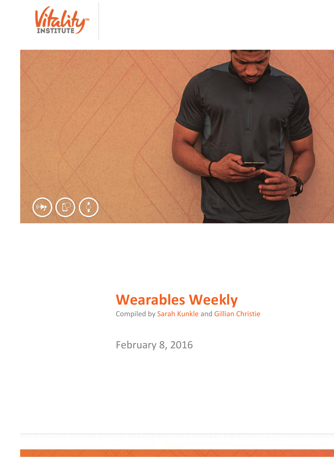



# **Wearables Weekly**

Compiled by Sarah Kunkle and Gillian Christie

February 8, 2016